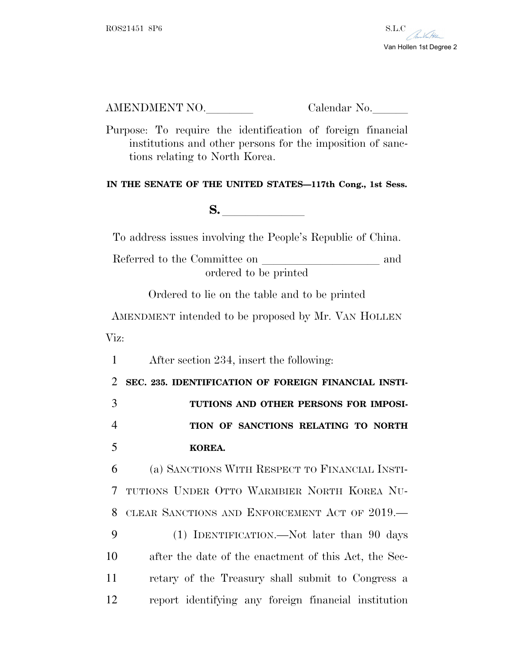

AMENDMENT NO. Calendar No.

Purpose: To require the identification of foreign financial institutions and other persons for the imposition of sanctions relating to North Korea.

## **IN THE SENATE OF THE UNITED STATES—117th Cong., 1st Sess.**

**S.**  $\blacksquare$ 

To address issues involving the People's Republic of China.

Referred to the Committee on and ordered to be printed

Ordered to lie on the table and to be printed

AMENDMENT intended to be proposed by Mr. VAN HOLLEN Viz:

1 After section 234, insert the following:

 **SEC. 235. IDENTIFICATION OF FOREIGN FINANCIAL INSTI- TUTIONS AND OTHER PERSONS FOR IMPOSI- TION OF SANCTIONS RELATING TO NORTH** 5 **KOREA.** 

 (a) SANCTIONS WITH RESPECT TO FINANCIAL INSTI- TUTIONS UNDER OTTO WARMBIER NORTH KOREA NU- CLEAR SANCTIONS AND ENFORCEMENT ACT OF 2019.— (1) IDENTIFICATION.—Not later than 90 days after the date of the enactment of this Act, the Sec-

11 retary of the Treasury shall submit to Congress a 12 report identifying any foreign financial institution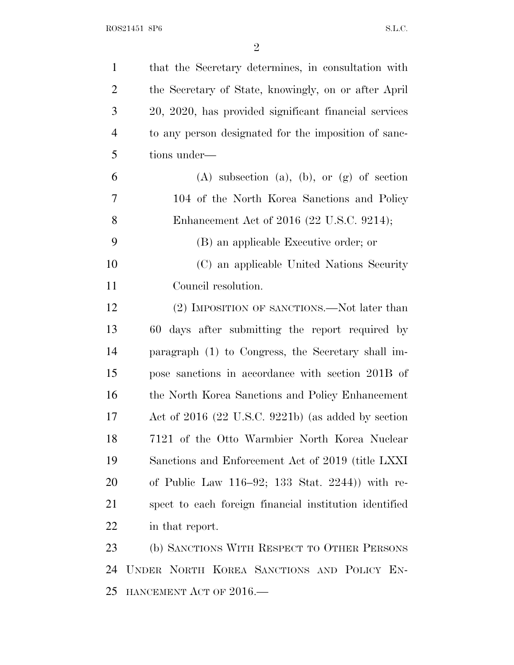| $\mathbf{1}$   | that the Secretary determines, in consultation with    |
|----------------|--------------------------------------------------------|
| 2              | the Secretary of State, knowingly, on or after April   |
| 3              | 20, 2020, has provided significant financial services  |
| $\overline{4}$ | to any person designated for the imposition of sanc-   |
| 5              | tions under—                                           |
| 6              | $(A)$ subsection $(a)$ , $(b)$ , or $(g)$ of section   |
| 7              | 104 of the North Korea Sanctions and Policy            |
| 8              | Enhancement Act of 2016 (22 U.S.C. 9214);              |
| 9              | (B) an applicable Executive order; or                  |
| 10             | (C) an applicable United Nations Security              |
| 11             | Council resolution.                                    |
| 12             | (2) IMPOSITION OF SANCTIONS.—Not later than            |
| 13             | 60 days after submitting the report required by        |
| 14             | paragraph (1) to Congress, the Secretary shall im-     |
| 15             | pose sanctions in accordance with section 201B of      |
| 16             | the North Korea Sanctions and Policy Enhancement       |
| 17             | Act of $2016$ (22 U.S.C. 9221b) (as added by section   |
| 18             | 7121 of the Otto Warmbier North Korea Nuclear          |
| 19             | Sanctions and Enforcement Act of 2019 (title LXXI)     |
| 20             | of Public Law $116-92$ ; $133$ Stat. $2244$ ) with re- |
| 21             | spect to each foreign financial institution identified |
| 22             | in that report.                                        |
| 23             | (b) SANCTIONS WITH RESPECT TO OTHER PERSONS            |
| 24             | UNDER NORTH KOREA SANCTIONS AND POLICY EN-             |
| 25             | HANCEMENT ACT OF $2016$ .                              |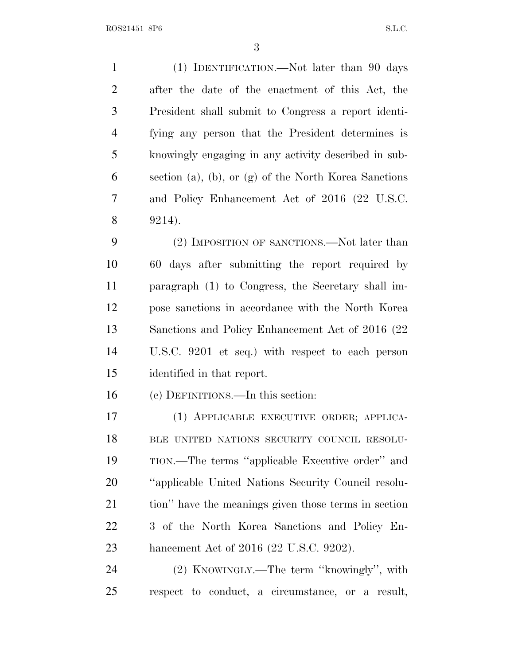ROS21451 8P6 S.L.C.

 (1) IDENTIFICATION.—Not later than 90 days after the date of the enactment of this Act, the President shall submit to Congress a report identi- fying any person that the President determines is knowingly engaging in any activity described in sub- section (a), (b), or (g) of the North Korea Sanctions and Policy Enhancement Act of 2016 (22 U.S.C. 9214). 9 (2) IMPOSITION OF SANCTIONS.—Not later than 60 days after submitting the report required by paragraph (1) to Congress, the Secretary shall im- pose sanctions in accordance with the North Korea Sanctions and Policy Enhancement Act of 2016 (22 U.S.C. 9201 et seq.) with respect to each person identified in that report. (c) DEFINITIONS.—In this section: (1) APPLICABLE EXECUTIVE ORDER; APPLICA-18 BLE UNITED NATIONS SECURITY COUNCIL RESOLU- TION.—The terms ''applicable Executive order'' and ''applicable United Nations Security Council resolu- tion'' have the meanings given those terms in section 3 of the North Korea Sanctions and Policy En- hancement Act of 2016 (22 U.S.C. 9202). (2) KNOWINGLY.—The term ''knowingly'', with respect to conduct, a circumstance, or a result,